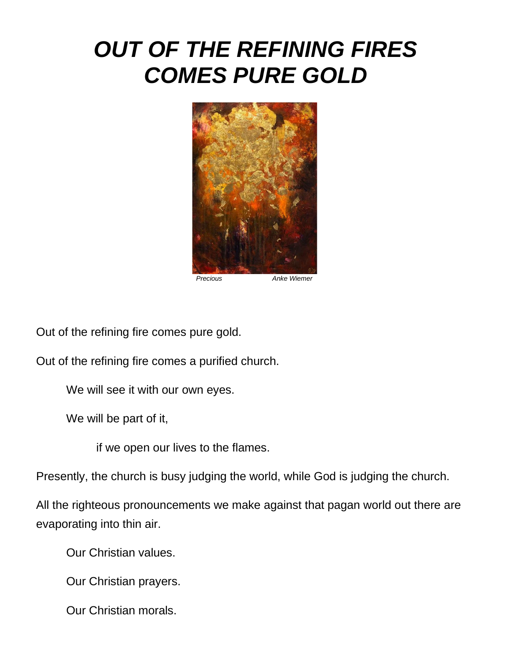## *OUT OF THE REFINING FIRES COMES PURE GOLD*



Out of the refining fire comes pure gold.

Out of the refining fire comes a purified church.

We will see it with our own eyes.

We will be part of it,

if we open our lives to the flames.

Presently, the church is busy judging the world, while God is judging the church.

All the righteous pronouncements we make against that pagan world out there are evaporating into thin air.

Our Christian values.

Our Christian prayers.

Our Christian morals.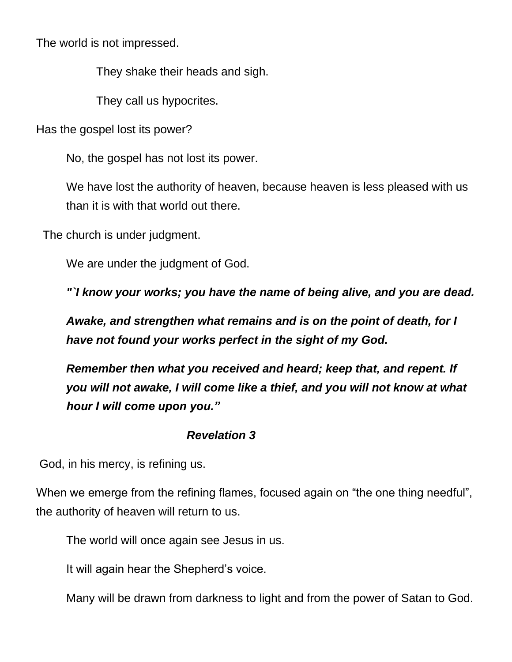The world is not impressed.

They shake their heads and sigh.

They call us hypocrites.

Has the gospel lost its power?

No, the gospel has not lost its power.

We have lost the authority of heaven, because heaven is less pleased with us than it is with that world out there.

The church is under judgment.

We are under the judgment of God.

*"`I know your works; you have the name of being alive, and you are dead.*

*Awake, and strengthen what remains and is on the point of death, for I have not found your works perfect in the sight of my God.*

*Remember then what you received and heard; keep that, and repent. If you will not awake, I will come like a thief, and you will not know at what hour I will come upon you."*

## *Revelation 3*

God, in his mercy, is refining us.

When we emerge from the refining flames, focused again on "the one thing needful", the authority of heaven will return to us.

The world will once again see Jesus in us.

It will again hear the Shepherd's voice.

Many will be drawn from darkness to light and from the power of Satan to God.